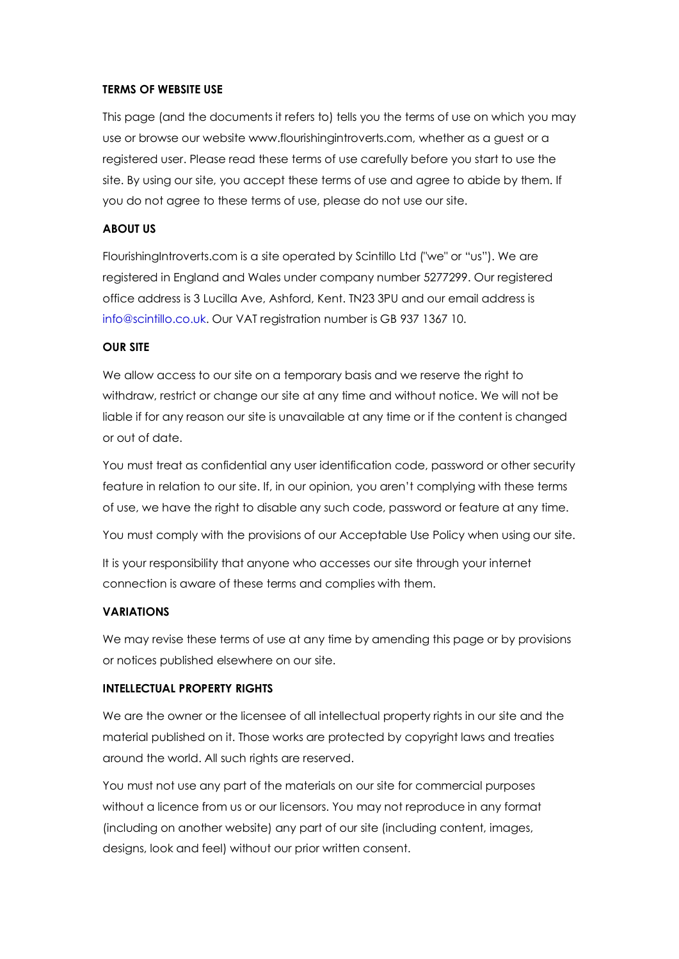## **TERMS OF WEBSITE USE**

This page (and the documents it refers to) tells you the terms of use on which you may use or browse our website www.flourishingintroverts.com, whether as a guest or a registered user. Please read these terms of use carefully before you start to use the site. By using our site, you accept these terms of use and agree to abide by them. If you do not agree to these terms of use, please do not use our site.

## **ABOUT US**

FlourishingIntroverts.com is a site operated by Scintillo Ltd ("we" or "us"). We are registered in England and Wales under company number 5277299. Our registered office address is 3 Lucilla Ave, Ashford, Kent. TN23 3PU and our email address is [info@scintillo.co.uk.](mailto:info@scintillo.co.uk) Our VAT registration number is GB 937 1367 10.

### **OUR SITE**

We allow access to our site on a temporary basis and we reserve the right to withdraw, restrict or change our site at any time and without notice. We will not be liable if for any reason our site is unavailable at any time or if the content is changed or out of date.

You must treat as confidential any user identification code, password or other security feature in relation to our site. If, in our opinion, you aren't complying with these terms of use, we have the right to disable any such code, password or feature at any time.

You must comply with the provisions of our Acceptable Use Policy when using our site.

It is your responsibility that anyone who accesses our site through your internet connection is aware of these terms and complies with them.

#### **VARIATIONS**

We may revise these terms of use at any time by amending this page or by provisions or notices published elsewhere on our site.

#### **INTELLECTUAL PROPERTY RIGHTS**

We are the owner or the licensee of all intellectual property rights in our site and the material published on it. Those works are protected by copyright laws and treaties around the world. All such rights are reserved.

You must not use any part of the materials on our site for commercial purposes without a licence from us or our licensors. You may not reproduce in any format (including on another website) any part of our site (including content, images, designs, look and feel) without our prior written consent.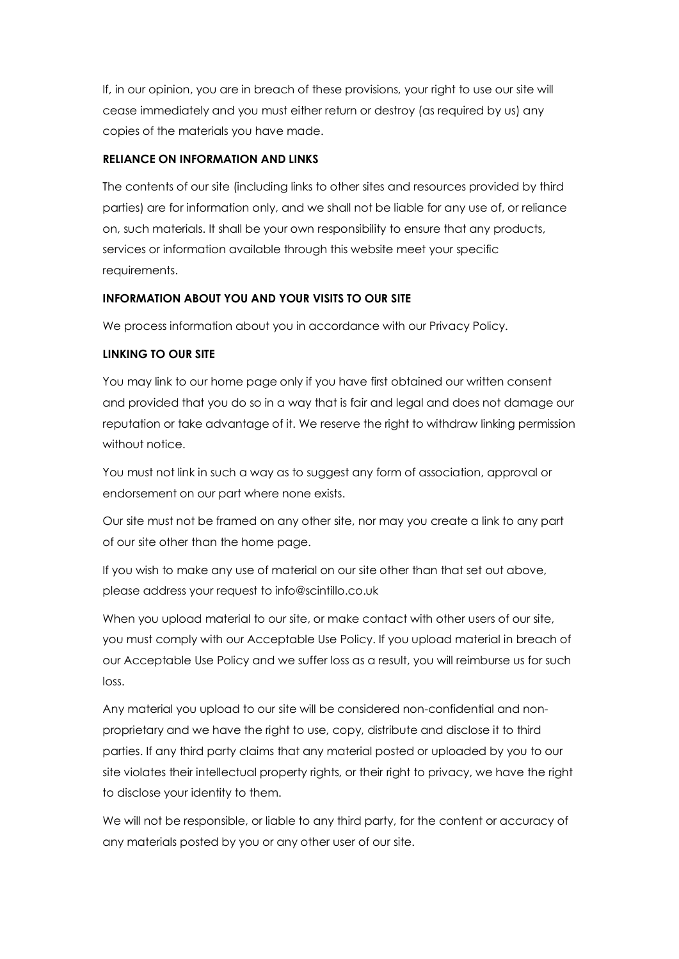If, in our opinion, you are in breach of these provisions, your right to use our site will cease immediately and you must either return or destroy (as required by us) any copies of the materials you have made.

# **RELIANCE ON INFORMATION AND LINKS**

The contents of our site (including links to other sites and resources provided by third parties) are for information only, and we shall not be liable for any use of, or reliance on, such materials. It shall be your own responsibility to ensure that any products, services or information available through this website meet your specific requirements.

# **INFORMATION ABOUT YOU AND YOUR VISITS TO OUR SITE**

We process information about you in accordance with our Privacy Policy.

# **LINKING TO OUR SITE**

You may link to our home page only if you have first obtained our written consent and provided that you do so in a way that is fair and legal and does not damage our reputation or take advantage of it. We reserve the right to withdraw linking permission without notice.

You must not link in such a way as to suggest any form of association, approval or endorsement on our part where none exists.

Our site must not be framed on any other site, nor may you create a link to any part of our site other than the home page.

If you wish to make any use of material on our site other than that set out above, please address your request to info@scintillo.co.uk

When you upload material to our site, or make contact with other users of our site, you must comply with our Acceptable Use Policy. If you upload material in breach of our Acceptable Use Policy and we suffer loss as a result, you will reimburse us for such loss.

Any material you upload to our site will be considered non-confidential and nonproprietary and we have the right to use, copy, distribute and disclose it to third parties. If any third party claims that any material posted or uploaded by you to our site violates their intellectual property rights, or their right to privacy, we have the right to disclose your identity to them.

We will not be responsible, or liable to any third party, for the content or accuracy of any materials posted by you or any other user of our site.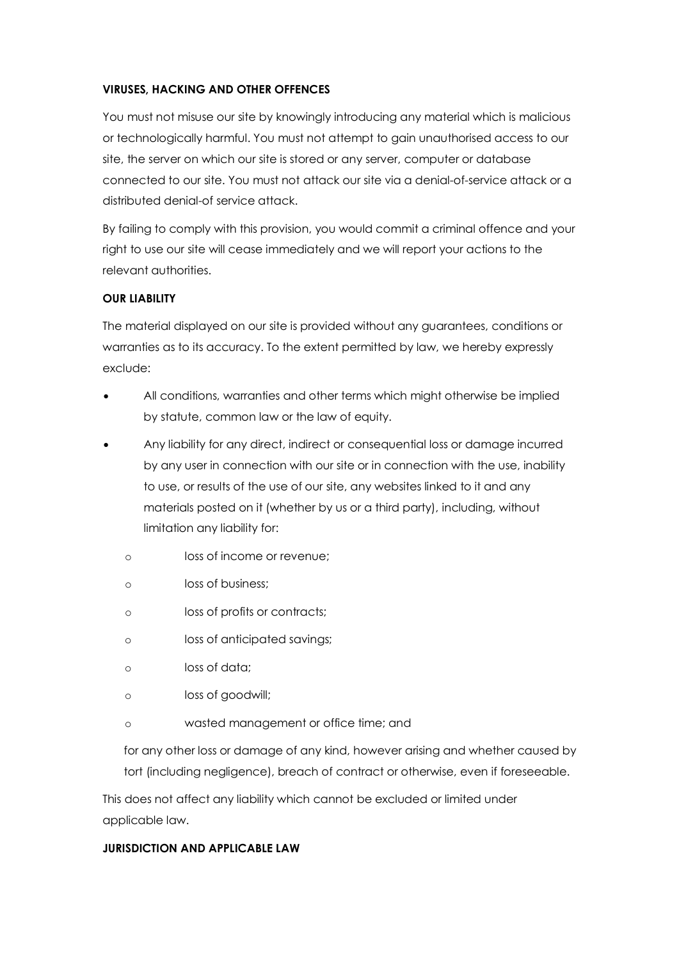## **VIRUSES, HACKING AND OTHER OFFENCES**

You must not misuse our site by knowingly introducing any material which is malicious or technologically harmful. You must not attempt to gain unauthorised access to our site, the server on which our site is stored or any server, computer or database connected to our site. You must not attack our site via a denial-of-service attack or a distributed denial-of service attack.

By failing to comply with this provision, you would commit a criminal offence and your right to use our site will cease immediately and we will report your actions to the relevant authorities.

## **OUR LIABILITY**

The material displayed on our site is provided without any guarantees, conditions or warranties as to its accuracy. To the extent permitted by law, we hereby expressly exclude:

- All conditions, warranties and other terms which might otherwise be implied by statute, common law or the law of equity.
- Any liability for any direct, indirect or consequential loss or damage incurred by any user in connection with our site or in connection with the use, inability to use, or results of the use of our site, any websites linked to it and any materials posted on it (whether by us or a third party), including, without limitation any liability for:
	- o loss of income or revenue;
	- o loss of business;
	- o loss of profits or contracts;
	- o loss of anticipated savings;
	- o loss of data;
	- o loss of goodwill;
	- o wasted management or office time; and

for any other loss or damage of any kind, however arising and whether caused by tort (including negligence), breach of contract or otherwise, even if foreseeable.

This does not affect any liability which cannot be excluded or limited under applicable law.

## **JURISDICTION AND APPLICABLE LAW**